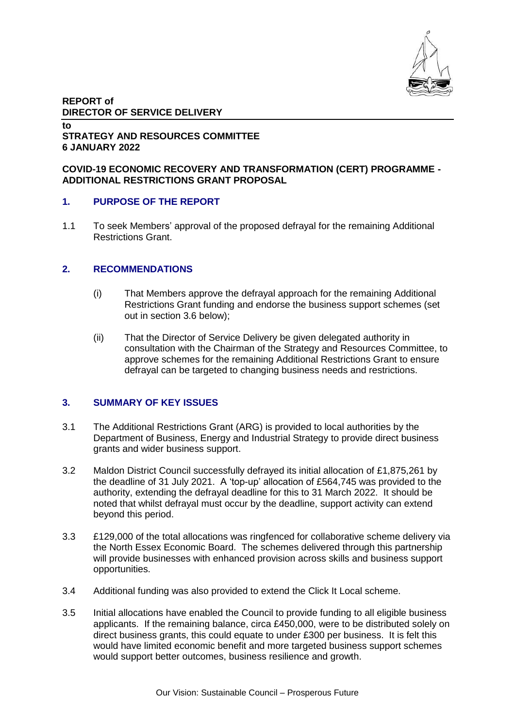

# **REPORT of DIRECTOR OF SERVICE DELIVERY**

#### **to STRATEGY AND RESOURCES COMMITTEE 6 JANUARY 2022**

### **COVID-19 ECONOMIC RECOVERY AND TRANSFORMATION (CERT) PROGRAMME - ADDITIONAL RESTRICTIONS GRANT PROPOSAL**

### **1. PURPOSE OF THE REPORT**

1.1 To seek Members' approval of the proposed defrayal for the remaining Additional Restrictions Grant.

### **2. RECOMMENDATIONS**

- (i) That Members approve the defrayal approach for the remaining Additional Restrictions Grant funding and endorse the business support schemes (set out in section 3.6 below);
- (ii) That the Director of Service Delivery be given delegated authority in consultation with the Chairman of the Strategy and Resources Committee, to approve schemes for the remaining Additional Restrictions Grant to ensure defrayal can be targeted to changing business needs and restrictions.

# **3. SUMMARY OF KEY ISSUES**

- 3.1 The Additional Restrictions Grant (ARG) is provided to local authorities by the Department of Business, Energy and Industrial Strategy to provide direct business grants and wider business support.
- 3.2 Maldon District Council successfully defrayed its initial allocation of £1,875,261 by the deadline of 31 July 2021. A 'top-up' allocation of £564,745 was provided to the authority, extending the defrayal deadline for this to 31 March 2022. It should be noted that whilst defrayal must occur by the deadline, support activity can extend beyond this period.
- 3.3 £129,000 of the total allocations was ringfenced for collaborative scheme delivery via the North Essex Economic Board. The schemes delivered through this partnership will provide businesses with enhanced provision across skills and business support opportunities.
- 3.4 Additional funding was also provided to extend the Click It Local scheme.
- 3.5 Initial allocations have enabled the Council to provide funding to all eligible business applicants. If the remaining balance, circa £450,000, were to be distributed solely on direct business grants, this could equate to under £300 per business. It is felt this would have limited economic benefit and more targeted business support schemes would support better outcomes, business resilience and growth.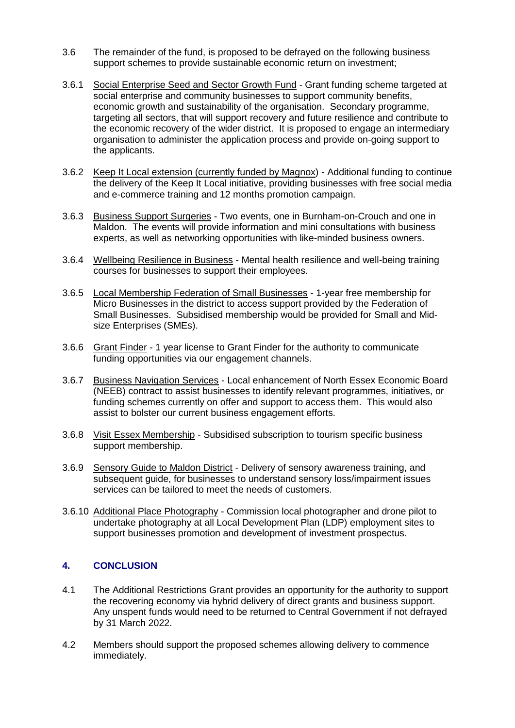- 3.6 The remainder of the fund, is proposed to be defrayed on the following business support schemes to provide sustainable economic return on investment;
- 3.6.1 Social Enterprise Seed and Sector Growth Fund Grant funding scheme targeted at social enterprise and community businesses to support community benefits, economic growth and sustainability of the organisation. Secondary programme, targeting all sectors, that will support recovery and future resilience and contribute to the economic recovery of the wider district. It is proposed to engage an intermediary organisation to administer the application process and provide on-going support to the applicants.
- 3.6.2 Keep It Local extension (currently funded by Magnox) Additional funding to continue the delivery of the Keep It Local initiative, providing businesses with free social media and e-commerce training and 12 months promotion campaign.
- 3.6.3 Business Support Surgeries Two events, one in Burnham-on-Crouch and one in Maldon. The events will provide information and mini consultations with business experts, as well as networking opportunities with like-minded business owners.
- 3.6.4 Wellbeing Resilience in Business Mental health resilience and well-being training courses for businesses to support their employees.
- 3.6.5 Local Membership Federation of Small Businesses 1-year free membership for Micro Businesses in the district to access support provided by the Federation of Small Businesses. Subsidised membership would be provided for Small and Midsize Enterprises (SMEs).
- 3.6.6 Grant Finder 1 year license to Grant Finder for the authority to communicate funding opportunities via our engagement channels.
- 3.6.7 Business Navigation Services Local enhancement of North Essex Economic Board (NEEB) contract to assist businesses to identify relevant programmes, initiatives, or funding schemes currently on offer and support to access them. This would also assist to bolster our current business engagement efforts.
- 3.6.8 Visit Essex Membership Subsidised subscription to tourism specific business support membership.
- 3.6.9 Sensory Guide to Maldon District Delivery of sensory awareness training, and subsequent guide, for businesses to understand sensory loss/impairment issues services can be tailored to meet the needs of customers.
- 3.6.10 Additional Place Photography Commission local photographer and drone pilot to undertake photography at all Local Development Plan (LDP) employment sites to support businesses promotion and development of investment prospectus.

### **4. CONCLUSION**

- 4.1 The Additional Restrictions Grant provides an opportunity for the authority to support the recovering economy via hybrid delivery of direct grants and business support. Any unspent funds would need to be returned to Central Government if not defrayed by 31 March 2022.
- 4.2 Members should support the proposed schemes allowing delivery to commence immediately.